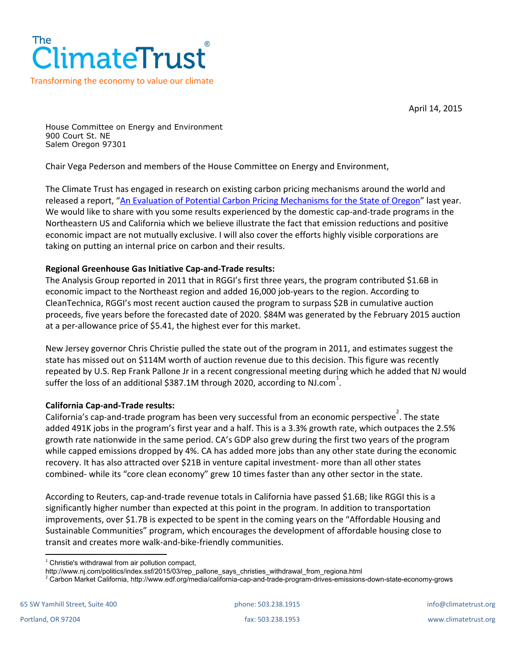

April 14, 2015

House Committee on Energy and Environment 900 Court St. NE Salem Oregon 97301

Chair Vega Pederson and members of the House Committee on Energy and Environment,

The Climate Trust has engaged in research on existing carbon pricing mechanisms around the world and released a report, "An Evaluation of Potential Carbon Pricing [Mechanisms](http://climatetrust.org/wp-content/uploads/2014/07/An-Evaluation-of-Potential-Carbon-Pricing-Mechanisms-for-the-State-of-Oregon.pdf) for the State of Oregon" last year. We would like to share with you some results experienced by the domestic cap-and-trade programs in the Northeastern US and California which we believe illustrate the fact that emission reductions and positive economic impact are not mutually exclusive. I will also cover the efforts highly visible corporations are taking on putting an internal price on carbon and their results.

## **Regional Greenhouse Gas Initiative Cap-and-Trade results:**

The Analysis Group reported in 2011 that in RGGI's first three years, the program contributed \$1.6B in economic impact to the Northeast region and added 16,000 job-years to the region. According to CleanTechnica, RGGI's most recent auction caused the program to surpass \$2B in cumulative auction proceeds, five years before the forecasted date of 2020. \$84M was generated by the February 2015 auction at a per-allowance price of \$5.41, the highest ever for this market.

New Jersey governor Chris Christie pulled the state out of the program in 2011, and estimates suggest the state has missed out on \$114M worth of auction revenue due to this decision. This figure was recently repeated by U.S. Rep Frank Pallone Jr in a recent congressional meeting during which he added that NJ would suffer the loss of an additional \$387.1M through 2020, according to NJ.com<sup>1</sup>.

## **California Cap-and-Trade results:**

California's cap-and-trade program has been very successful from an economic perspective<sup>2</sup>. The state added 491K jobs in the program's first year and a half. This is a 3.3% growth rate, which outpaces the 2.5% growth rate nationwide in the same period. CA's GDP also grew during the first two years of the program while capped emissions dropped by 4%. CA has added more jobs than any other state during the economic recovery. It has also attracted over \$21B in venture capital investment- more than all other states combined- while its "core clean economy" grew 10 times faster than any other sector in the state.

According to Reuters, cap-and-trade revenue totals in California have passed \$1.6B; like RGGI this is a significantly higher number than expected at this point in the program. In addition to transportation improvements, over \$1.7B is expected to be spent in the coming years on the "Affordable Housing and Sustainable Communities" program, which encourages the development of affordable housing close to transit and creates more walk-and-bike-friendly communities.

<sup>2</sup> Carbon Market California, http://www.edf.org/media/california-cap-and-trade-program-drives-emissions-down-state-economy-grows

 $1$  Christie's withdrawal from air pollution compact,

http://www.nj.com/politics/index.ssf/2015/03/rep\_pallone\_says\_christies\_withdrawal\_from\_regiona.html